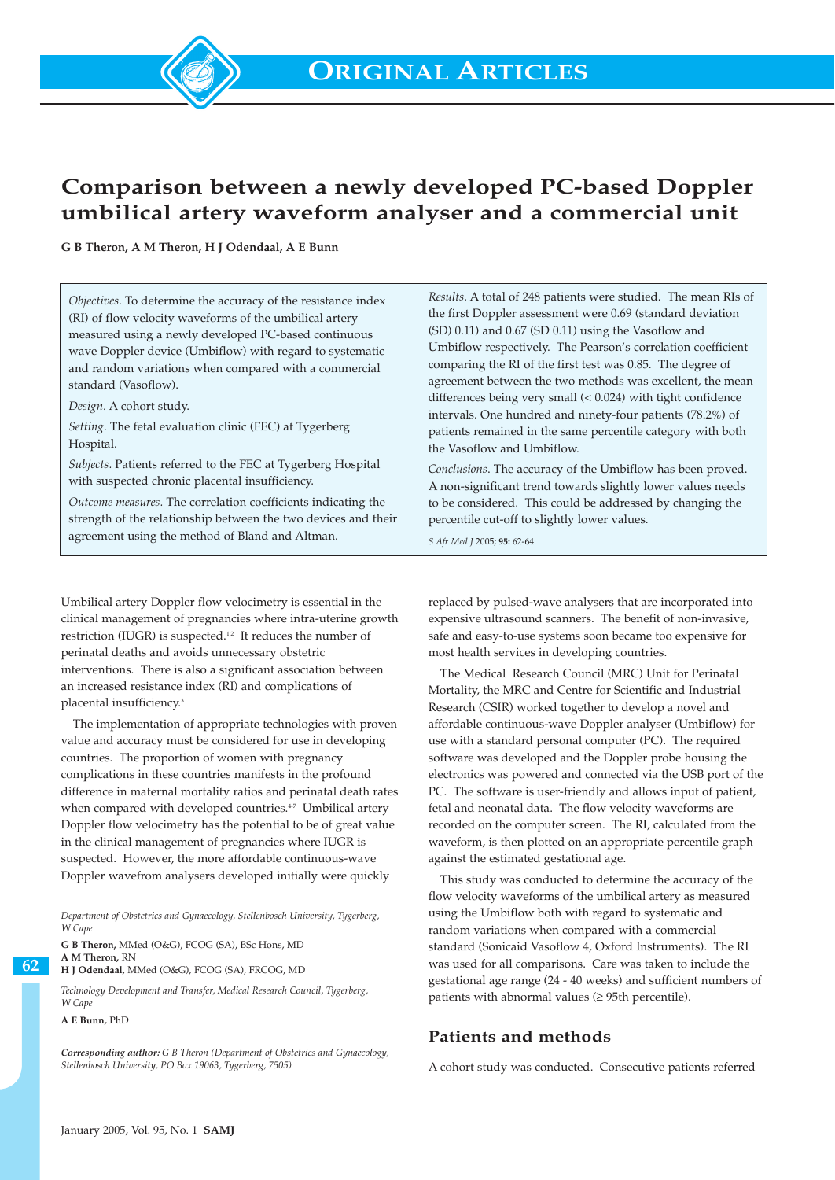

# **Comparison between a newly developed PC-based Doppler umbilical artery waveform analyser and a commercial unit**

**G B Theron, A M Theron, H J Odendaal, A E Bunn**

*Objectives.* To determine the accuracy of the resistance index (RI) of flow velocity waveforms of the umbilical artery measured using a newly developed PC-based continuous wave Doppler device (Umbiflow) with regard to systematic and random variations when compared with a commercial standard (Vasoflow).

*Design.* A cohort study.

*Setting.* The fetal evaluation clinic (FEC) at Tygerberg Hospital.

*Subjects.* Patients referred to the FEC at Tygerberg Hospital with suspected chronic placental insufficiency.

*Outcome measures.* The correlation coefficients indicating the strength of the relationship between the two devices and their agreement using the method of Bland and Altman.

Umbilical artery Doppler flow velocimetry is essential in the clinical management of pregnancies where intra-uterine growth restriction (IUGR) is suspected.<sup>1,2</sup> It reduces the number of perinatal deaths and avoids unnecessary obstetric interventions. There is also a significant association between an increased resistance index (RI) and complications of placental insufficiency.<sup>3</sup>

The implementation of appropriate technologies with proven value and accuracy must be considered for use in developing countries. The proportion of women with pregnancy complications in these countries manifests in the profound difference in maternal mortality ratios and perinatal death rates when compared with developed countries.<sup>47</sup> Umbilical artery Doppler flow velocimetry has the potential to be of great value in the clinical management of pregnancies where IUGR is suspected. However, the more affordable continuous-wave Doppler wavefrom analysers developed initially were quickly

*Department of Obstetrics and Gynaecology, Stellenbosch University, Tygerberg, W Cape*

**G B Theron,** MMed (O&G), FCOG (SA), BSc Hons, MD **A M Theron,** RN

**H J Odendaal,** MMed (O&G), FCOG (SA), FRCOG, MD

*Technology Development and Transfer, Medical Research Council, Tygerberg, W Cape*

**A E Bunn,** PhD

**62**

*Corresponding author: G B Theron (Department of Obstetrics and Gynaecology, Stellenbosch University, PO Box 19063, Tygerberg, 7505)*

*Results.* A total of 248 patients were studied. The mean RIs of the first Doppler assessment were 0.69 (standard deviation (SD) 0.11) and 0.67 (SD 0.11) using the Vasoflow and Umbiflow respectively. The Pearson's correlation coefficient comparing the RI of the first test was 0.85. The degree of agreement between the two methods was excellent, the mean differences being very small (< 0.024) with tight confidence intervals. One hundred and ninety-four patients (78.2%) of patients remained in the same percentile category with both the Vasoflow and Umbiflow.

*Conclusions*. The accuracy of the Umbiflow has been proved. A non-significant trend towards slightly lower values needs to be considered. This could be addressed by changing the percentile cut-off to slightly lower values.

*S Afr Med J* 2005; **95:** 62-64.

replaced by pulsed-wave analysers that are incorporated into expensive ultrasound scanners. The benefit of non-invasive, safe and easy-to-use systems soon became too expensive for most health services in developing countries.

The Medical Research Council (MRC) Unit for Perinatal Mortality, the MRC and Centre for Scientific and Industrial Research (CSIR) worked together to develop a novel and affordable continuous-wave Doppler analyser (Umbiflow) for use with a standard personal computer (PC). The required software was developed and the Doppler probe housing the electronics was powered and connected via the USB port of the PC. The software is user-friendly and allows input of patient, fetal and neonatal data. The flow velocity waveforms are recorded on the computer screen. The RI, calculated from the waveform, is then plotted on an appropriate percentile graph against the estimated gestational age.

This study was conducted to determine the accuracy of the flow velocity waveforms of the umbilical artery as measured using the Umbiflow both with regard to systematic and random variations when compared with a commercial standard (Sonicaid Vasoflow 4, Oxford Instruments). The RI was used for all comparisons. Care was taken to include the gestational age range (24 - 40 weeks) and sufficient numbers of patients with abnormal values (≥ 95th percentile).

## **Patients and methods**

A cohort study was conducted. Consecutive patients referred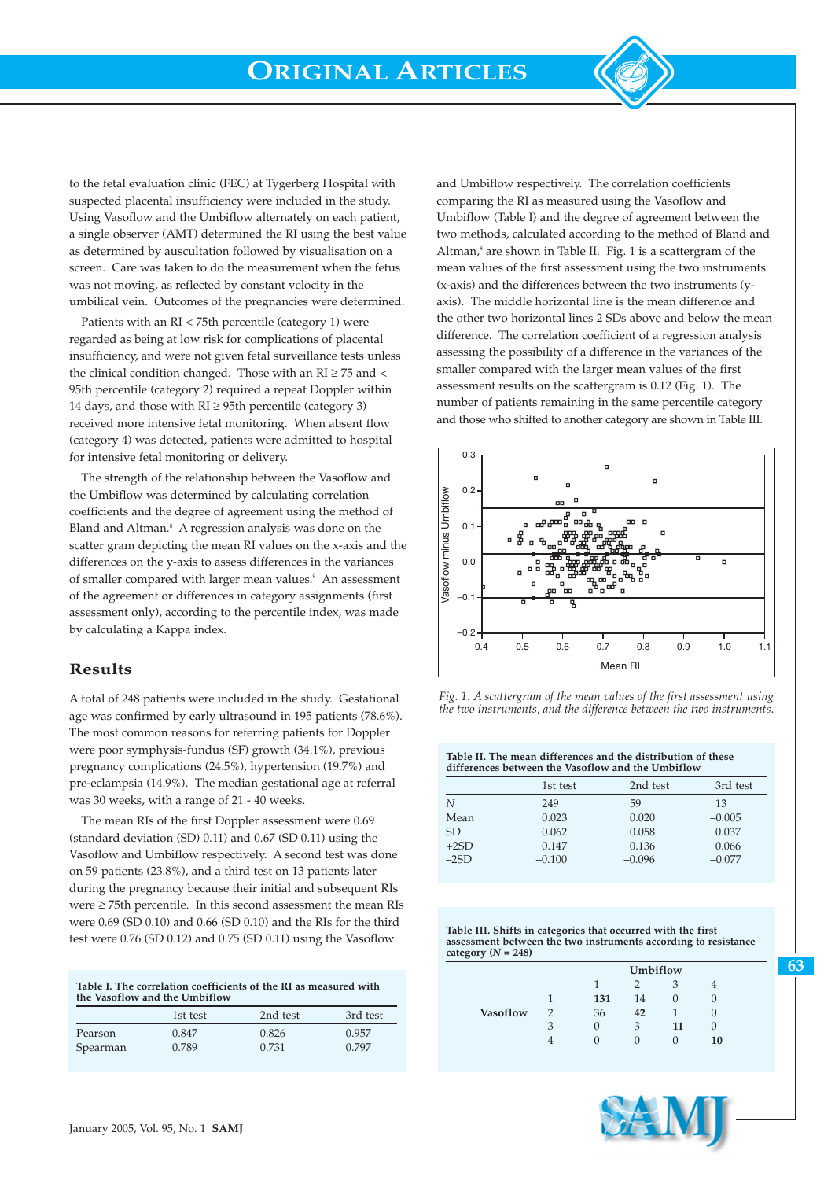to the fetal evaluation clinic (FEC) at Tygerberg Hospital with suspected placental insufficiency were included in the study. Using Vasoflow and the Umbiflow alternately on each patient, a single observer (AMT) determined the RI using the best value as determined by auscultation followed by visualisation on a screen. Care was taken to do the measurement when the fetus was not moving, as reflected by constant velocity in the umbilical vein. Outcomes of the pregnancies were determined.

Patients with an RI < 75th percentile (category 1) were regarded as being at low risk for complications of placental insufficiency, and were not given fetal surveillance tests unless the clinical condition changed. Those with an  $RI \geq 75$  and < 95th percentile (category 2) required a repeat Doppler within 14 days, and those with  $RI \geq 95$ th percentile (category 3) received more intensive fetal monitoring. When absent flow (category 4) was detected, patients were admitted to hospital for intensive fetal monitoring or delivery.

The strength of the relationship between the Vasoflow and the Umbiflow was determined by calculating correlation coefficients and the degree of agreement using the method of Bland and Altman.<sup>8</sup> A regression analysis was done on the scatter gram depicting the mean RI values on the x-axis and the differences on the y-axis to assess differences in the variances of smaller compared with larger mean values.<sup>9</sup> An assessment of the agreement or differences in category assignments (first assessment only), according to the percentile index, was made by calculating a Kappa index.

### **Results**

A total of 248 patients were included in the study. Gestational age was confirmed by early ultrasound in 195 patients (78.6%). The most common reasons for referring patients for Doppler were poor symphysis-fundus (SF) growth (34.1%), previous pregnancy complications (24.5%), hypertension (19.7%) and pre-eclampsia (14.9%). The median gestational age at referral was 30 weeks, with a range of 21 - 40 weeks.

The mean RIs of the first Doppler assessment were 0.69 (standard deviation (SD) 0.11) and 0.67 (SD 0.11) using the Vasoflow and Umbiflow respectively. A second test was done on 59 patients (23.8%), and a third test on 13 patients later during the pregnancy because their initial and subsequent RIs were ≥ 75th percentile. In this second assessment the mean RIs were 0.69 (SD 0.10) and 0.66 (SD 0.10) and the RIs for the third test were 0.76 (SD 0.12) and 0.75 (SD 0.11) using the Vasoflow

**Table I. The correlation coefficients of the RI as measured with the Vasoflow and the Umbiflow**

|          | 1st test | 2nd test | 3rd test |
|----------|----------|----------|----------|
| Pearson  | 0.847    | 0.826    | 0.957    |
| Spearman | 0.789    | 0.731    | 0.797    |

and Umbiflow respectively. The correlation coefficients comparing the RI as measured using the Vasoflow and Umbiflow (Table I) and the degree of agreement between the two methods, calculated according to the method of Bland and Altman, $^8$  are shown in Table II. Fig. 1 is a scattergram of the mean values of the first assessment using the two instruments (x-axis) and the differences between the two instruments (yaxis). The middle horizontal line is the mean difference and the other two horizontal lines 2 SDs above and below the mean difference. The correlation coefficient of a regression analysis assessing the possibility of a difference in the variances of the smaller compared with the larger mean values of the first assessment results on the scattergram is 0.12 (Fig. 1). The number of patients remaining in the same percentile category and those who shifted to another category are shown in Table III.



*Fig. 1. A scattergram of the mean values of the first assessment using the two instruments, and the difference between the two instruments.*

|        | Table II. The mean differences and the distribution of these<br>differences between the Vasoflow and the Umbiflow |          |          |  |  |
|--------|-------------------------------------------------------------------------------------------------------------------|----------|----------|--|--|
|        | 1st test                                                                                                          | 2nd test | 3rd test |  |  |
| N      | 249                                                                                                               | 59       | 13       |  |  |
| Mean   | 0.023                                                                                                             | 0.020    | $-0.005$ |  |  |
| SD.    | 0.062                                                                                                             | 0.058    | 0.037    |  |  |
| $+2SD$ | 0.147                                                                                                             | 0.136    | 0.066    |  |  |
| $-2SD$ | $-0.100$                                                                                                          | $-0.096$ | $-0.077$ |  |  |
|        |                                                                                                                   |          |          |  |  |

**Table III. Shifts in categories that occurred with the first assessment between the two instruments according to resistance**  $category (N = 248)$ 

|                 |   | Umbiflow |    |    |    |  |
|-----------------|---|----------|----|----|----|--|
|                 |   |          |    | 3  |    |  |
|                 |   | 131      | 14 |    |    |  |
| <b>Vasoflow</b> |   | 36       | 42 |    | U  |  |
|                 | 3 | U        | 3  | 11 | U  |  |
|                 |   | 0        |    |    | 10 |  |

**63**